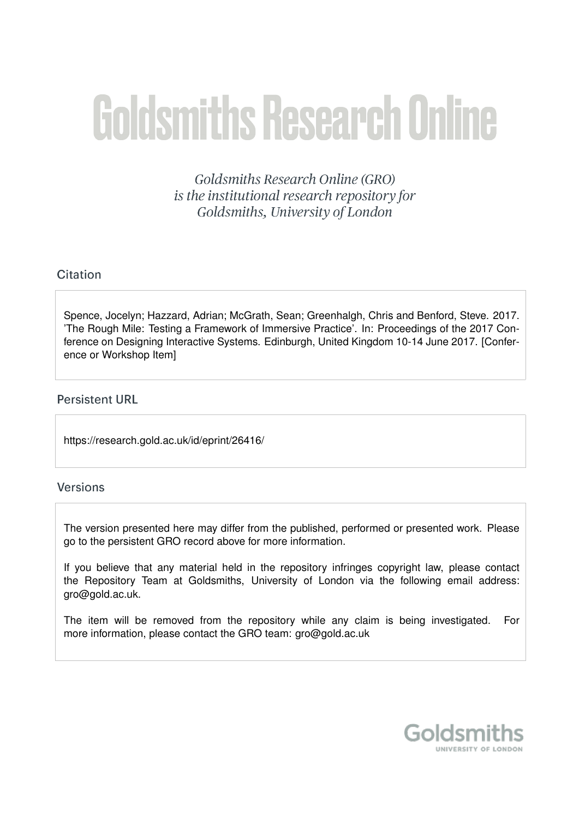# **Goldsmiths Research Online**

Goldsmiths Research Online (GRO) is the institutional research repository for Goldsmiths, University of London

# Citation

Spence, Jocelyn; Hazzard, Adrian; McGrath, Sean; Greenhalgh, Chris and Benford, Steve. 2017. 'The Rough Mile: Testing a Framework of Immersive Practice'. In: Proceedings of the 2017 Conference on Designing Interactive Systems. Edinburgh, United Kingdom 10-14 June 2017. [Conference or Workshop Item]

### **Persistent URL**

https://research.gold.ac.uk/id/eprint/26416/

# Versions

The version presented here may differ from the published, performed or presented work. Please go to the persistent GRO record above for more information.

If you believe that any material held in the repository infringes copyright law, please contact the Repository Team at Goldsmiths, University of London via the following email address: gro@gold.ac.uk.

The item will be removed from the repository while any claim is being investigated. For more information, please contact the GRO team: gro@gold.ac.uk

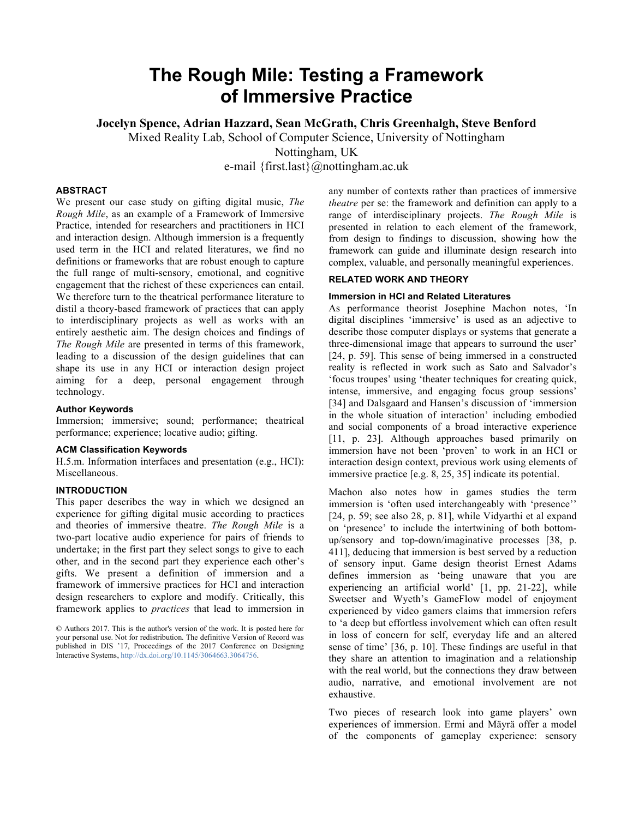# **The Rough Mile: Testing a Framework of Immersive Practice**

**Jocelyn Spence, Adrian Hazzard, Sean McGrath, Chris Greenhalgh, Steve Benford**

Mixed Reality Lab, School of Computer Science, University of Nottingham

Nottingham, UK

e-mail {first.last}@nottingham.ac.uk

#### **ABSTRACT**

We present our case study on gifting digital music, *The Rough Mile*, as an example of a Framework of Immersive Practice, intended for researchers and practitioners in HCI and interaction design. Although immersion is a frequently used term in the HCI and related literatures, we find no definitions or frameworks that are robust enough to capture the full range of multi-sensory, emotional, and cognitive engagement that the richest of these experiences can entail. We therefore turn to the theatrical performance literature to distil a theory-based framework of practices that can apply to interdisciplinary projects as well as works with an entirely aesthetic aim. The design choices and findings of *The Rough Mile* are presented in terms of this framework, leading to a discussion of the design guidelines that can shape its use in any HCI or interaction design project aiming for a deep, personal engagement through technology.

#### **Author Keywords**

Immersion; immersive; sound; performance; theatrical performance; experience; locative audio; gifting.

#### **ACM Classification Keywords**

H.5.m. Information interfaces and presentation (e.g., HCI): Miscellaneous.

#### **INTRODUCTION**

This paper describes the way in which we designed an experience for gifting digital music according to practices and theories of immersive theatre. *The Rough Mile* is a two-part locative audio experience for pairs of friends to undertake; in the first part they select songs to give to each other, and in the second part they experience each other's gifts. We present a definition of immersion and a framework of immersive practices for HCI and interaction design researchers to explore and modify. Critically, this framework applies to *practices* that lead to immersion in

© Authors 2017. This is the author's version of the work. It is posted here for your personal use. Not for redistribution. The definitive Version of Record was published in DIS '17, Proceedings of the 2017 Conference on Designing Interactive Systems, http://dx.doi.org/10.1145/3064663.3064756.

any number of contexts rather than practices of immersive *theatre* per se: the framework and definition can apply to a range of interdisciplinary projects. *The Rough Mile* is presented in relation to each element of the framework, from design to findings to discussion, showing how the framework can guide and illuminate design research into complex, valuable, and personally meaningful experiences.

#### **RELATED WORK AND THEORY**

#### **Immersion in HCI and Related Literatures**

As performance theorist Josephine Machon notes, 'In digital disciplines 'immersive' is used as an adjective to describe those computer displays or systems that generate a three-dimensional image that appears to surround the user' [24, p. 59]. This sense of being immersed in a constructed reality is reflected in work such as Sato and Salvador's 'focus troupes' using 'theater techniques for creating quick, intense, immersive, and engaging focus group sessions' [34] and Dalsgaard and Hansen's discussion of 'immersion in the whole situation of interaction' including embodied and social components of a broad interactive experience [11, p. 23]. Although approaches based primarily on immersion have not been 'proven' to work in an HCI or interaction design context, previous work using elements of immersive practice [e.g. 8, 25, 35] indicate its potential.

Machon also notes how in games studies the term immersion is 'often used interchangeably with 'presence'' [24, p. 59; see also 28, p. 81], while Vidyarthi et al expand on 'presence' to include the intertwining of both bottomup/sensory and top-down/imaginative processes [38, p. 411], deducing that immersion is best served by a reduction of sensory input. Game design theorist Ernest Adams defines immersion as 'being unaware that you are experiencing an artificial world' [1, pp. 21-22], while Sweetser and Wyeth's GameFlow model of enjoyment experienced by video gamers claims that immersion refers to 'a deep but effortless involvement which can often result in loss of concern for self, everyday life and an altered sense of time' [36, p. 10]. These findings are useful in that they share an attention to imagination and a relationship with the real world, but the connections they draw between audio, narrative, and emotional involvement are not exhaustive.

Two pieces of research look into game players' own experiences of immersion. Ermi and Mäyrä offer a model of the components of gameplay experience: sensory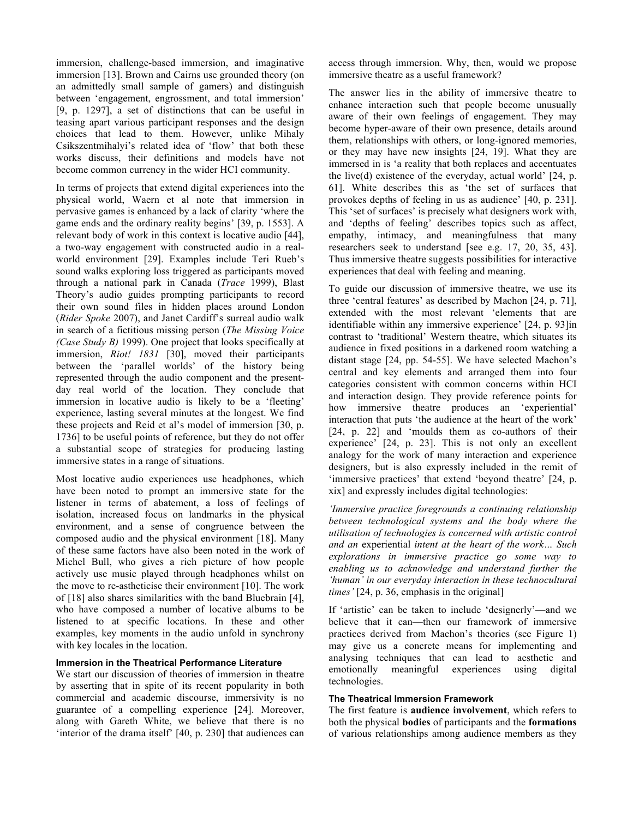immersion, challenge-based immersion, and imaginative immersion [13]. Brown and Cairns use grounded theory (on an admittedly small sample of gamers) and distinguish between 'engagement, engrossment, and total immersion' [9, p. 1297], a set of distinctions that can be useful in teasing apart various participant responses and the design choices that lead to them. However, unlike Mihaly Csikszentmihalyi's related idea of 'flow' that both these works discuss, their definitions and models have not become common currency in the wider HCI community.

In terms of projects that extend digital experiences into the physical world, Waern et al note that immersion in pervasive games is enhanced by a lack of clarity 'where the game ends and the ordinary reality begins' [39, p. 1553]. A relevant body of work in this context is locative audio [44], a two-way engagement with constructed audio in a realworld environment [29]. Examples include Teri Rueb's sound walks exploring loss triggered as participants moved through a national park in Canada (*Trace* 1999), Blast Theory's audio guides prompting participants to record their own sound files in hidden places around London (*Rider Spoke* 2007), and Janet Cardiff's surreal audio walk in search of a fictitious missing person (*The Missing Voice (Case Study B)* 1999). One project that looks specifically at immersion, *Riot! 1831* [30], moved their participants between the 'parallel worlds' of the history being represented through the audio component and the presentday real world of the location. They conclude that immersion in locative audio is likely to be a 'fleeting' experience, lasting several minutes at the longest. We find these projects and Reid et al's model of immersion [30, p. 1736] to be useful points of reference, but they do not offer a substantial scope of strategies for producing lasting immersive states in a range of situations.

Most locative audio experiences use headphones, which have been noted to prompt an immersive state for the listener in terms of abatement, a loss of feelings of isolation, increased focus on landmarks in the physical environment, and a sense of congruence between the composed audio and the physical environment [18]. Many of these same factors have also been noted in the work of Michel Bull, who gives a rich picture of how people actively use music played through headphones whilst on the move to re-astheticise their environment [10]. The work of [18] also shares similarities with the band Bluebrain [4], who have composed a number of locative albums to be listened to at specific locations. In these and other examples, key moments in the audio unfold in synchrony with key locales in the location.

#### **Immersion in the Theatrical Performance Literature**

We start our discussion of theories of immersion in theatre by asserting that in spite of its recent popularity in both commercial and academic discourse, immersivity is no guarantee of a compelling experience [24]. Moreover, along with Gareth White, we believe that there is no 'interior of the drama itself' [40, p. 230] that audiences can access through immersion. Why, then, would we propose immersive theatre as a useful framework?

The answer lies in the ability of immersive theatre to enhance interaction such that people become unusually aware of their own feelings of engagement. They may become hyper-aware of their own presence, details around them, relationships with others, or long-ignored memories, or they may have new insights [24, 19]. What they are immersed in is 'a reality that both replaces and accentuates the live(d) existence of the everyday, actual world'  $[24, p]$ . 61]. White describes this as 'the set of surfaces that provokes depths of feeling in us as audience' [40, p. 231]. This 'set of surfaces' is precisely what designers work with, and 'depths of feeling' describes topics such as affect, empathy, intimacy, and meaningfulness that many researchers seek to understand [see e.g. 17, 20, 35, 43]. Thus immersive theatre suggests possibilities for interactive experiences that deal with feeling and meaning.

To guide our discussion of immersive theatre, we use its three 'central features' as described by Machon [24, p. 71], extended with the most relevant 'elements that are identifiable within any immersive experience' [24, p. 93]in contrast to 'traditional' Western theatre, which situates its audience in fixed positions in a darkened room watching a distant stage [24, pp. 54-55]. We have selected Machon's central and key elements and arranged them into four categories consistent with common concerns within HCI and interaction design. They provide reference points for how immersive theatre produces an 'experiential' interaction that puts 'the audience at the heart of the work' [24, p. 22] and 'moulds them as co-authors of their experience' [24, p. 23]. This is not only an excellent analogy for the work of many interaction and experience designers, but is also expressly included in the remit of 'immersive practices' that extend 'beyond theatre' [24, p. xix] and expressly includes digital technologies:

*'Immersive practice foregrounds a continuing relationship between technological systems and the body where the utilisation of technologies is concerned with artistic control and an* experiential *intent at the heart of the work… Such explorations in immersive practice go some way to enabling us to acknowledge and understand further the 'human' in our everyday interaction in these technocultural times'* [24, p. 36, emphasis in the original]

If 'artistic' can be taken to include 'designerly'—and we believe that it can—then our framework of immersive practices derived from Machon's theories (see Figure 1) may give us a concrete means for implementing and analysing techniques that can lead to aesthetic and emotionally meaningful experiences using digital technologies.

#### **The Theatrical Immersion Framework**

The first feature is **audience involvement**, which refers to both the physical **bodies** of participants and the **formations** of various relationships among audience members as they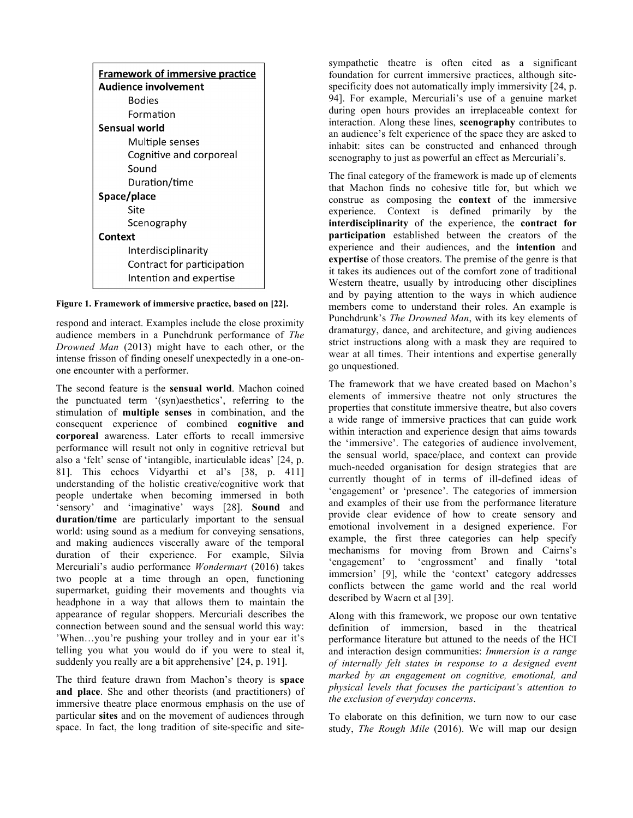| <b>Framework of immersive practice</b> |
|----------------------------------------|
| Audience involvement                   |
| <b>Bodies</b>                          |
| Formation                              |
| Sensual world                          |
| Multiple senses                        |
| Cognitive and corporeal                |
| Sound                                  |
| Duration/time                          |
| Space/place                            |
| Site                                   |
| Scenography                            |
| Context                                |
| Interdisciplinarity                    |
| Contract for participation             |
| Intention and expertise                |

#### **Figure 1. Framework of immersive practice, based on [22].**

respond and interact. Examples include the close proximity audience members in a Punchdrunk performance of *The Drowned Man* (2013) might have to each other, or the intense frisson of finding oneself unexpectedly in a one-onone encounter with a performer.

The second feature is the **sensual world**. Machon coined the punctuated term '(syn)aesthetics', referring to the stimulation of **multiple senses** in combination, and the consequent experience of combined **cognitive and corporeal** awareness. Later efforts to recall immersive performance will result not only in cognitive retrieval but also a 'felt' sense of 'intangible, inarticulable ideas' [24, p. 81]. This echoes Vidyarthi et al's [38, p. 411] understanding of the holistic creative/cognitive work that people undertake when becoming immersed in both 'sensory' and 'imaginative' ways [28]. **Sound** and duration/time are particularly important to the sensual world: using sound as a medium for conveying sensations, and making audiences viscerally aware of the temporal duration of their experience. For example, Silvia Mercuriali's audio performance *Wondermart* (2016) takes two people at a time through an open, functioning supermarket, guiding their movements and thoughts via headphone in a way that allows them to maintain the appearance of regular shoppers. Mercuriali describes the connection between sound and the sensual world this way: 'When…you're pushing your trolley and in your ear it's telling you what you would do if you were to steal it, suddenly you really are a bit apprehensive' [24, p. 191].

The third feature drawn from Machon's theory is **space and place**. She and other theorists (and practitioners) of immersive theatre place enormous emphasis on the use of particular **sites** and on the movement of audiences through space. In fact, the long tradition of site-specific and sitesympathetic theatre is often cited as a significant foundation for current immersive practices, although sitespecificity does not automatically imply immersivity [24, p. 94]. For example, Mercuriali's use of a genuine market during open hours provides an irreplaceable context for interaction. Along these lines, **scenography** contributes to an audience's felt experience of the space they are asked to inhabit: sites can be constructed and enhanced through scenography to just as powerful an effect as Mercuriali's.

The final category of the framework is made up of elements that Machon finds no cohesive title for, but which we construe as composing the **context** of the immersive experience. Context is defined primarily by the **interdisciplinarity** of the experience, the **contract for participation** established between the creators of the experience and their audiences, and the **intention** and **expertise** of those creators. The premise of the genre is that it takes its audiences out of the comfort zone of traditional Western theatre, usually by introducing other disciplines and by paying attention to the ways in which audience members come to understand their roles. An example is Punchdrunk's *The Drowned Man*, with its key elements of dramaturgy, dance, and architecture, and giving audiences strict instructions along with a mask they are required to wear at all times. Their intentions and expertise generally go unquestioned.

The framework that we have created based on Machon's elements of immersive theatre not only structures the properties that constitute immersive theatre, but also covers a wide range of immersive practices that can guide work within interaction and experience design that aims towards the 'immersive'. The categories of audience involvement, the sensual world, space/place, and context can provide much-needed organisation for design strategies that are currently thought of in terms of ill-defined ideas of 'engagement' or 'presence'. The categories of immersion and examples of their use from the performance literature provide clear evidence of how to create sensory and emotional involvement in a designed experience. For example, the first three categories can help specify mechanisms for moving from Brown and Cairns's 'engagement' to 'engrossment' and finally 'total immersion' [9], while the 'context' category addresses conflicts between the game world and the real world described by Waern et al [39].

Along with this framework, we propose our own tentative definition of immersion, based in the theatrical performance literature but attuned to the needs of the HCI and interaction design communities: *Immersion is a range of internally felt states in response to a designed event marked by an engagement on cognitive, emotional, and physical levels that focuses the participant's attention to the exclusion of everyday concerns*.

To elaborate on this definition, we turn now to our case study, *The Rough Mile* (2016). We will map our design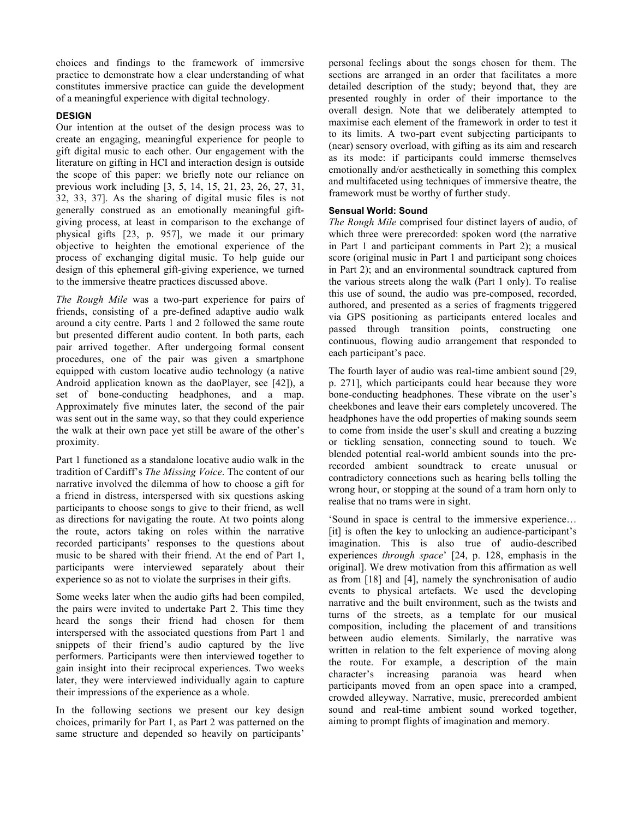choices and findings to the framework of immersive practice to demonstrate how a clear understanding of what constitutes immersive practice can guide the development of a meaningful experience with digital technology.

#### **DESIGN**

Our intention at the outset of the design process was to create an engaging, meaningful experience for people to gift digital music to each other. Our engagement with the literature on gifting in HCI and interaction design is outside the scope of this paper: we briefly note our reliance on previous work including [3, 5, 14, 15, 21, 23, 26, 27, 31, 32, 33, 37]. As the sharing of digital music files is not generally construed as an emotionally meaningful giftgiving process, at least in comparison to the exchange of physical gifts [23, p. 957], we made it our primary objective to heighten the emotional experience of the process of exchanging digital music. To help guide our design of this ephemeral gift-giving experience, we turned to the immersive theatre practices discussed above.

*The Rough Mile* was a two-part experience for pairs of friends, consisting of a pre-defined adaptive audio walk around a city centre. Parts 1 and 2 followed the same route but presented different audio content. In both parts, each pair arrived together. After undergoing formal consent procedures, one of the pair was given a smartphone equipped with custom locative audio technology (a native Android application known as the daoPlayer, see [42]), a set of bone-conducting headphones, and a map. Approximately five minutes later, the second of the pair was sent out in the same way, so that they could experience the walk at their own pace yet still be aware of the other's proximity.

Part 1 functioned as a standalone locative audio walk in the tradition of Cardiff's *The Missing Voice*. The content of our narrative involved the dilemma of how to choose a gift for a friend in distress, interspersed with six questions asking participants to choose songs to give to their friend, as well as directions for navigating the route. At two points along the route, actors taking on roles within the narrative recorded participants' responses to the questions about music to be shared with their friend. At the end of Part 1, participants were interviewed separately about their experience so as not to violate the surprises in their gifts.

Some weeks later when the audio gifts had been compiled, the pairs were invited to undertake Part 2. This time they heard the songs their friend had chosen for them interspersed with the associated questions from Part 1 and snippets of their friend's audio captured by the live performers. Participants were then interviewed together to gain insight into their reciprocal experiences. Two weeks later, they were interviewed individually again to capture their impressions of the experience as a whole.

In the following sections we present our key design choices, primarily for Part 1, as Part 2 was patterned on the same structure and depended so heavily on participants'

personal feelings about the songs chosen for them. The sections are arranged in an order that facilitates a more detailed description of the study; beyond that, they are presented roughly in order of their importance to the overall design. Note that we deliberately attempted to maximise each element of the framework in order to test it to its limits. A two-part event subjecting participants to (near) sensory overload, with gifting as its aim and research as its mode: if participants could immerse themselves emotionally and/or aesthetically in something this complex and multifaceted using techniques of immersive theatre, the framework must be worthy of further study.

#### **Sensual World: Sound**

*The Rough Mile* comprised four distinct layers of audio, of which three were prerecorded: spoken word (the narrative in Part 1 and participant comments in Part 2); a musical score (original music in Part 1 and participant song choices in Part 2); and an environmental soundtrack captured from the various streets along the walk (Part 1 only). To realise this use of sound, the audio was pre-composed, recorded, authored, and presented as a series of fragments triggered via GPS positioning as participants entered locales and passed through transition points, constructing one continuous, flowing audio arrangement that responded to each participant's pace.

The fourth layer of audio was real-time ambient sound [29, p. 271], which participants could hear because they wore bone-conducting headphones. These vibrate on the user's cheekbones and leave their ears completely uncovered. The headphones have the odd properties of making sounds seem to come from inside the user's skull and creating a buzzing or tickling sensation, connecting sound to touch. We blended potential real-world ambient sounds into the prerecorded ambient soundtrack to create unusual or contradictory connections such as hearing bells tolling the wrong hour, or stopping at the sound of a tram horn only to realise that no trams were in sight.

'Sound in space is central to the immersive experience… [it] is often the key to unlocking an audience-participant's imagination. This is also true of audio-described experiences *through space*' [24, p. 128, emphasis in the original]. We drew motivation from this affirmation as well as from [18] and [4], namely the synchronisation of audio events to physical artefacts. We used the developing narrative and the built environment, such as the twists and turns of the streets, as a template for our musical composition, including the placement of and transitions between audio elements. Similarly, the narrative was written in relation to the felt experience of moving along the route. For example, a description of the main character's increasing paranoia was heard when participants moved from an open space into a cramped, crowded alleyway. Narrative, music, prerecorded ambient sound and real-time ambient sound worked together, aiming to prompt flights of imagination and memory.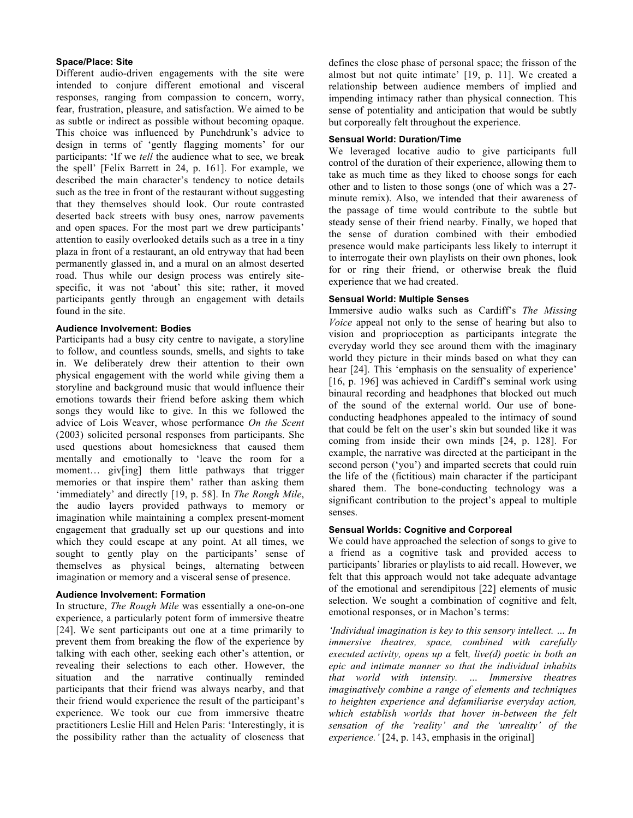#### **Space/Place: Site**

Different audio-driven engagements with the site were intended to conjure different emotional and visceral responses, ranging from compassion to concern, worry, fear, frustration, pleasure, and satisfaction. We aimed to be as subtle or indirect as possible without becoming opaque. This choice was influenced by Punchdrunk's advice to design in terms of 'gently flagging moments' for our participants: 'If we *tell* the audience what to see, we break the spell' [Felix Barrett in 24, p. 161]. For example, we described the main character's tendency to notice details such as the tree in front of the restaurant without suggesting that they themselves should look. Our route contrasted deserted back streets with busy ones, narrow pavements and open spaces. For the most part we drew participants' attention to easily overlooked details such as a tree in a tiny plaza in front of a restaurant, an old entryway that had been permanently glassed in, and a mural on an almost deserted road. Thus while our design process was entirely sitespecific, it was not 'about' this site; rather, it moved participants gently through an engagement with details found in the site.

#### **Audience Involvement: Bodies**

Participants had a busy city centre to navigate, a storyline to follow, and countless sounds, smells, and sights to take in. We deliberately drew their attention to their own physical engagement with the world while giving them a storyline and background music that would influence their emotions towards their friend before asking them which songs they would like to give. In this we followed the advice of Lois Weaver, whose performance *On the Scent* (2003) solicited personal responses from participants. She used questions about homesickness that caused them mentally and emotionally to 'leave the room for a moment... giv[ing] them little pathways that trigger memories or that inspire them' rather than asking them 'immediately' and directly [19, p. 58]. In *The Rough Mile*, the audio layers provided pathways to memory or imagination while maintaining a complex present-moment engagement that gradually set up our questions and into which they could escape at any point. At all times, we sought to gently play on the participants' sense of themselves as physical beings, alternating between imagination or memory and a visceral sense of presence.

#### **Audience Involvement: Formation**

In structure, *The Rough Mile* was essentially a one-on-one experience, a particularly potent form of immersive theatre [24]. We sent participants out one at a time primarily to prevent them from breaking the flow of the experience by talking with each other, seeking each other's attention, or revealing their selections to each other. However, the situation and the narrative continually reminded participants that their friend was always nearby, and that their friend would experience the result of the participant's experience. We took our cue from immersive theatre practitioners Leslie Hill and Helen Paris: 'Interestingly, it is the possibility rather than the actuality of closeness that

defines the close phase of personal space; the frisson of the almost but not quite intimate' [19, p. 11]. We created a relationship between audience members of implied and impending intimacy rather than physical connection. This sense of potentiality and anticipation that would be subtly but corporeally felt throughout the experience.

#### **Sensual World: Duration/Time**

We leveraged locative audio to give participants full control of the duration of their experience, allowing them to take as much time as they liked to choose songs for each other and to listen to those songs (one of which was a 27 minute remix). Also, we intended that their awareness of the passage of time would contribute to the subtle but steady sense of their friend nearby. Finally, we hoped that the sense of duration combined with their embodied presence would make participants less likely to interrupt it to interrogate their own playlists on their own phones, look for or ring their friend, or otherwise break the fluid experience that we had created.

#### **Sensual World: Multiple Senses**

Immersive audio walks such as Cardiff's *The Missing Voice* appeal not only to the sense of hearing but also to vision and proprioception as participants integrate the everyday world they see around them with the imaginary world they picture in their minds based on what they can hear [24]. This 'emphasis on the sensuality of experience' [16, p. 196] was achieved in Cardiff's seminal work using binaural recording and headphones that blocked out much of the sound of the external world. Our use of boneconducting headphones appealed to the intimacy of sound that could be felt on the user's skin but sounded like it was coming from inside their own minds [24, p. 128]. For example, the narrative was directed at the participant in the second person ('you') and imparted secrets that could ruin the life of the (fictitious) main character if the participant shared them. The bone-conducting technology was a significant contribution to the project's appeal to multiple senses.

#### **Sensual Worlds: Cognitive and Corporeal**

We could have approached the selection of songs to give to a friend as a cognitive task and provided access to participants' libraries or playlists to aid recall. However, we felt that this approach would not take adequate advantage of the emotional and serendipitous [22] elements of music selection. We sought a combination of cognitive and felt, emotional responses, or in Machon's terms:

*'Individual imagination is key to this sensory intellect. … In immersive theatres, space, combined with carefully executed activity, opens up a* felt*, live(d) poetic in both an epic and intimate manner so that the individual inhabits that world with intensity. … Immersive theatres imaginatively combine a range of elements and techniques to heighten experience and defamiliarise everyday action, which establish worlds that hover in-between the felt sensation of the 'reality' and the 'unreality' of the experience.'* [24, p. 143, emphasis in the original]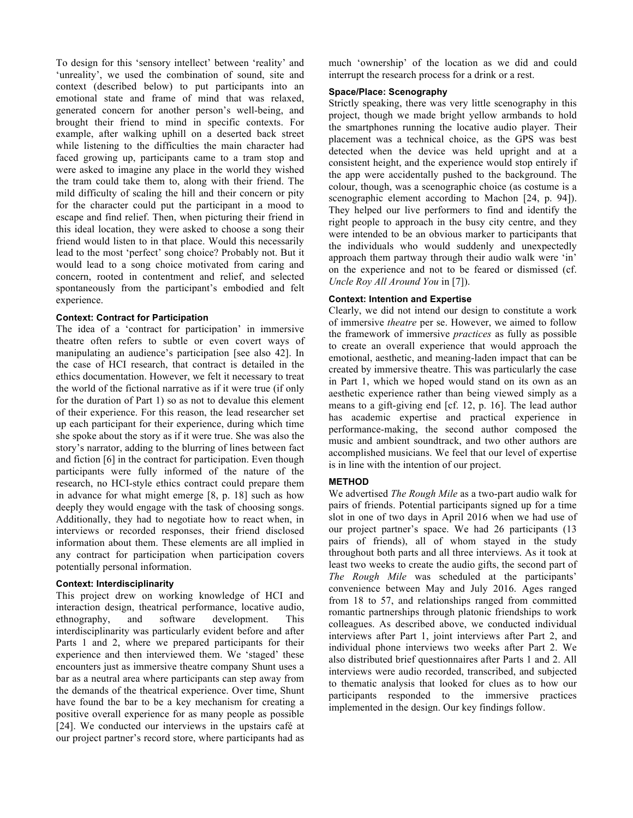To design for this 'sensory intellect' between 'reality' and 'unreality', we used the combination of sound, site and context (described below) to put participants into an emotional state and frame of mind that was relaxed, generated concern for another person's well-being, and brought their friend to mind in specific contexts. For example, after walking uphill on a deserted back street while listening to the difficulties the main character had faced growing up, participants came to a tram stop and were asked to imagine any place in the world they wished the tram could take them to, along with their friend. The mild difficulty of scaling the hill and their concern or pity for the character could put the participant in a mood to escape and find relief. Then, when picturing their friend in this ideal location, they were asked to choose a song their friend would listen to in that place. Would this necessarily lead to the most 'perfect' song choice? Probably not. But it would lead to a song choice motivated from caring and concern, rooted in contentment and relief, and selected spontaneously from the participant's embodied and felt experience.

#### **Context: Contract for Participation**

The idea of a 'contract for participation' in immersive theatre often refers to subtle or even covert ways of manipulating an audience's participation [see also 42]. In the case of HCI research, that contract is detailed in the ethics documentation. However, we felt it necessary to treat the world of the fictional narrative as if it were true (if only for the duration of Part 1) so as not to devalue this element of their experience. For this reason, the lead researcher set up each participant for their experience, during which time she spoke about the story as if it were true. She was also the story's narrator, adding to the blurring of lines between fact and fiction [6] in the contract for participation. Even though participants were fully informed of the nature of the research, no HCI-style ethics contract could prepare them in advance for what might emerge [8, p. 18] such as how deeply they would engage with the task of choosing songs. Additionally, they had to negotiate how to react when, in interviews or recorded responses, their friend disclosed information about them. These elements are all implied in any contract for participation when participation covers potentially personal information.

#### **Context: Interdisciplinarity**

This project drew on working knowledge of HCI and interaction design, theatrical performance, locative audio, ethnography, and software development. This interdisciplinarity was particularly evident before and after Parts 1 and 2, where we prepared participants for their experience and then interviewed them. We 'staged' these encounters just as immersive theatre company Shunt uses a bar as a neutral area where participants can step away from the demands of the theatrical experience. Over time, Shunt have found the bar to be a key mechanism for creating a positive overall experience for as many people as possible [24]. We conducted our interviews in the upstairs café at our project partner's record store, where participants had as

much 'ownership' of the location as we did and could interrupt the research process for a drink or a rest.

#### **Space/Place: Scenography**

Strictly speaking, there was very little scenography in this project, though we made bright yellow armbands to hold the smartphones running the locative audio player. Their placement was a technical choice, as the GPS was best detected when the device was held upright and at a consistent height, and the experience would stop entirely if the app were accidentally pushed to the background. The colour, though, was a scenographic choice (as costume is a scenographic element according to Machon [24, p. 94]). They helped our live performers to find and identify the right people to approach in the busy city centre, and they were intended to be an obvious marker to participants that the individuals who would suddenly and unexpectedly approach them partway through their audio walk were 'in' on the experience and not to be feared or dismissed (cf. *Uncle Roy All Around You* in [7]).

#### **Context: Intention and Expertise**

Clearly, we did not intend our design to constitute a work of immersive *theatre* per se. However, we aimed to follow the framework of immersive *practices* as fully as possible to create an overall experience that would approach the emotional, aesthetic, and meaning-laden impact that can be created by immersive theatre. This was particularly the case in Part 1, which we hoped would stand on its own as an aesthetic experience rather than being viewed simply as a means to a gift-giving end [cf. 12, p. 16]. The lead author has academic expertise and practical experience in performance-making, the second author composed the music and ambient soundtrack, and two other authors are accomplished musicians. We feel that our level of expertise is in line with the intention of our project.

#### **METHOD**

We advertised *The Rough Mile* as a two-part audio walk for pairs of friends. Potential participants signed up for a time slot in one of two days in April 2016 when we had use of our project partner's space. We had 26 participants (13 pairs of friends), all of whom stayed in the study throughout both parts and all three interviews. As it took at least two weeks to create the audio gifts, the second part of *The Rough Mile* was scheduled at the participants' convenience between May and July 2016. Ages ranged from 18 to 57, and relationships ranged from committed romantic partnerships through platonic friendships to work colleagues. As described above, we conducted individual interviews after Part 1, joint interviews after Part 2, and individual phone interviews two weeks after Part 2. We also distributed brief questionnaires after Parts 1 and 2. All interviews were audio recorded, transcribed, and subjected to thematic analysis that looked for clues as to how our participants responded to the immersive practices implemented in the design. Our key findings follow.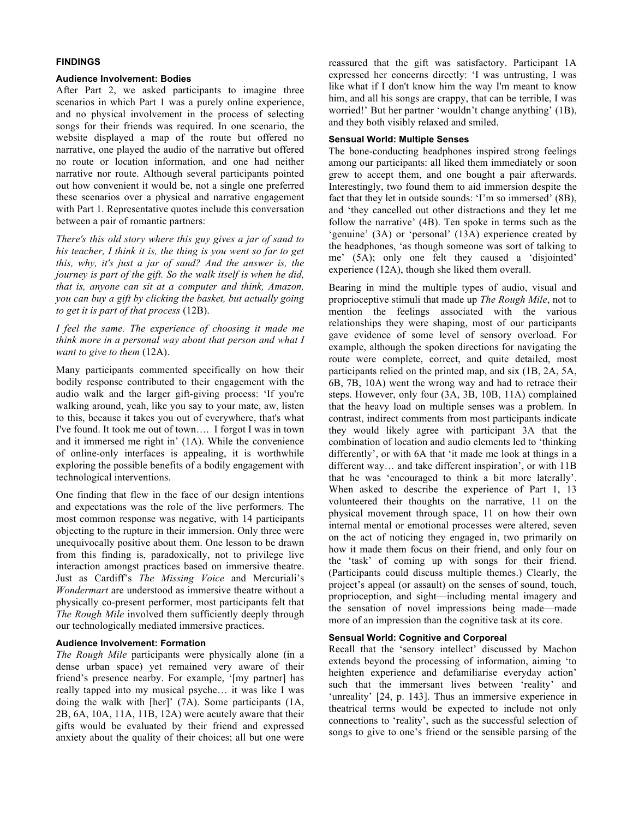#### **FINDINGS**

#### **Audience Involvement: Bodies**

After Part 2, we asked participants to imagine three scenarios in which Part 1 was a purely online experience, and no physical involvement in the process of selecting songs for their friends was required. In one scenario, the website displayed a map of the route but offered no narrative, one played the audio of the narrative but offered no route or location information, and one had neither narrative nor route. Although several participants pointed out how convenient it would be, not a single one preferred these scenarios over a physical and narrative engagement with Part 1. Representative quotes include this conversation between a pair of romantic partners:

*There's this old story where this guy gives a jar of sand to his teacher, I think it is, the thing is you went so far to get this, why, it's just a jar of sand? And the answer is, the journey is part of the gift. So the walk itself is when he did, that is, anyone can sit at a computer and think, Amazon, you can buy a gift by clicking the basket, but actually going to get it is part of that process* (12B).

*I feel the same. The experience of choosing it made me think more in a personal way about that person and what I want to give to them* (12A).

Many participants commented specifically on how their bodily response contributed to their engagement with the audio walk and the larger gift-giving process: 'If you're walking around, yeah, like you say to your mate, aw, listen to this, because it takes you out of everywhere, that's what I've found. It took me out of town…. I forgot I was in town and it immersed me right in' (1A). While the convenience of online-only interfaces is appealing, it is worthwhile exploring the possible benefits of a bodily engagement with technological interventions.

One finding that flew in the face of our design intentions and expectations was the role of the live performers. The most common response was negative, with 14 participants objecting to the rupture in their immersion. Only three were unequivocally positive about them. One lesson to be drawn from this finding is, paradoxically, not to privilege live interaction amongst practices based on immersive theatre. Just as Cardiff's *The Missing Voice* and Mercuriali's *Wondermart* are understood as immersive theatre without a physically co-present performer, most participants felt that *The Rough Mile* involved them sufficiently deeply through our technologically mediated immersive practices.

#### **Audience Involvement: Formation**

*The Rough Mile* participants were physically alone (in a dense urban space) yet remained very aware of their friend's presence nearby. For example, '[my partner] has really tapped into my musical psyche… it was like I was doing the walk with [her]' (7A). Some participants (1A, 2B, 6A, 10A, 11A, 11B, 12A) were acutely aware that their gifts would be evaluated by their friend and expressed anxiety about the quality of their choices; all but one were reassured that the gift was satisfactory. Participant 1A expressed her concerns directly: 'I was untrusting, I was like what if I don't know him the way I'm meant to know him, and all his songs are crappy, that can be terrible, I was worried!' But her partner 'wouldn't change anything' (1B), and they both visibly relaxed and smiled.

#### **Sensual World: Multiple Senses**

The bone-conducting headphones inspired strong feelings among our participants: all liked them immediately or soon grew to accept them, and one bought a pair afterwards. Interestingly, two found them to aid immersion despite the fact that they let in outside sounds: 'I'm so immersed' (8B), and 'they cancelled out other distractions and they let me follow the narrative' (4B). Ten spoke in terms such as the 'genuine' (3A) or 'personal' (13A) experience created by the headphones, 'as though someone was sort of talking to me' (5A); only one felt they caused a 'disjointed' experience (12A), though she liked them overall.

Bearing in mind the multiple types of audio, visual and proprioceptive stimuli that made up *The Rough Mile*, not to mention the feelings associated with the various relationships they were shaping, most of our participants gave evidence of some level of sensory overload. For example, although the spoken directions for navigating the route were complete, correct, and quite detailed, most participants relied on the printed map, and six (1B, 2A, 5A, 6B, 7B, 10A) went the wrong way and had to retrace their steps. However, only four (3A, 3B, 10B, 11A) complained that the heavy load on multiple senses was a problem. In contrast, indirect comments from most participants indicate they would likely agree with participant 3A that the combination of location and audio elements led to 'thinking differently', or with 6A that 'it made me look at things in a different way… and take different inspiration', or with 11B that he was 'encouraged to think a bit more laterally'. When asked to describe the experience of Part 1, 13 volunteered their thoughts on the narrative, 11 on the physical movement through space, 11 on how their own internal mental or emotional processes were altered, seven on the act of noticing they engaged in, two primarily on how it made them focus on their friend, and only four on the 'task' of coming up with songs for their friend. (Participants could discuss multiple themes.) Clearly, the project's appeal (or assault) on the senses of sound, touch, proprioception, and sight—including mental imagery and the sensation of novel impressions being made—made more of an impression than the cognitive task at its core.

#### **Sensual World: Cognitive and Corporeal**

Recall that the 'sensory intellect' discussed by Machon extends beyond the processing of information, aiming 'to heighten experience and defamiliarise everyday action' such that the immersant lives between 'reality' and 'unreality' [24, p. 143]. Thus an immersive experience in theatrical terms would be expected to include not only connections to 'reality', such as the successful selection of songs to give to one's friend or the sensible parsing of the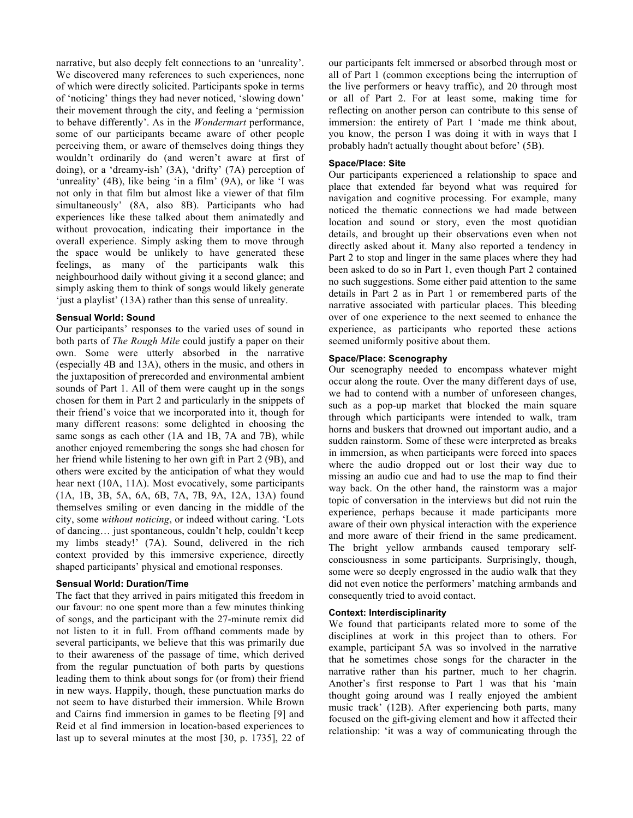narrative, but also deeply felt connections to an 'unreality'. We discovered many references to such experiences, none of which were directly solicited. Participants spoke in terms of 'noticing' things they had never noticed, 'slowing down' their movement through the city, and feeling a 'permission to behave differently'. As in the *Wondermart* performance, some of our participants became aware of other people perceiving them, or aware of themselves doing things they wouldn't ordinarily do (and weren't aware at first of doing), or a 'dreamy-ish' (3A), 'drifty' (7A) perception of 'unreality' (4B), like being 'in a film' (9A), or like 'I was not only in that film but almost like a viewer of that film simultaneously' (8A, also 8B). Participants who had experiences like these talked about them animatedly and without provocation, indicating their importance in the overall experience. Simply asking them to move through the space would be unlikely to have generated these feelings, as many of the participants walk this neighbourhood daily without giving it a second glance; and simply asking them to think of songs would likely generate 'just a playlist' (13A) rather than this sense of unreality.

#### **Sensual World: Sound**

Our participants' responses to the varied uses of sound in both parts of *The Rough Mile* could justify a paper on their own. Some were utterly absorbed in the narrative (especially 4B and 13A), others in the music, and others in the juxtaposition of prerecorded and environmental ambient sounds of Part 1. All of them were caught up in the songs chosen for them in Part 2 and particularly in the snippets of their friend's voice that we incorporated into it, though for many different reasons: some delighted in choosing the same songs as each other (1A and 1B, 7A and 7B), while another enjoyed remembering the songs she had chosen for her friend while listening to her own gift in Part 2 (9B), and others were excited by the anticipation of what they would hear next (10A, 11A). Most evocatively, some participants (1A, 1B, 3B, 5A, 6A, 6B, 7A, 7B, 9A, 12A, 13A) found themselves smiling or even dancing in the middle of the city, some *without noticing*, or indeed without caring. 'Lots of dancing… just spontaneous, couldn't help, couldn't keep my limbs steady!' (7A). Sound, delivered in the rich context provided by this immersive experience, directly shaped participants' physical and emotional responses.

#### **Sensual World: Duration/Time**

The fact that they arrived in pairs mitigated this freedom in our favour: no one spent more than a few minutes thinking of songs, and the participant with the 27-minute remix did not listen to it in full. From offhand comments made by several participants, we believe that this was primarily due to their awareness of the passage of time, which derived from the regular punctuation of both parts by questions leading them to think about songs for (or from) their friend in new ways. Happily, though, these punctuation marks do not seem to have disturbed their immersion. While Brown and Cairns find immersion in games to be fleeting [9] and Reid et al find immersion in location-based experiences to last up to several minutes at the most [30, p. 1735], 22 of

our participants felt immersed or absorbed through most or all of Part 1 (common exceptions being the interruption of the live performers or heavy traffic), and 20 through most or all of Part 2. For at least some, making time for reflecting on another person can contribute to this sense of immersion: the entirety of Part 1 'made me think about, you know, the person I was doing it with in ways that I probably hadn't actually thought about before' (5B).

#### **Space/Place: Site**

Our participants experienced a relationship to space and place that extended far beyond what was required for navigation and cognitive processing. For example, many noticed the thematic connections we had made between location and sound or story, even the most quotidian details, and brought up their observations even when not directly asked about it. Many also reported a tendency in Part 2 to stop and linger in the same places where they had been asked to do so in Part 1, even though Part 2 contained no such suggestions. Some either paid attention to the same details in Part 2 as in Part 1 or remembered parts of the narrative associated with particular places. This bleeding over of one experience to the next seemed to enhance the experience, as participants who reported these actions seemed uniformly positive about them.

#### **Space/Place: Scenography**

Our scenography needed to encompass whatever might occur along the route. Over the many different days of use, we had to contend with a number of unforeseen changes, such as a pop-up market that blocked the main square through which participants were intended to walk, tram horns and buskers that drowned out important audio, and a sudden rainstorm. Some of these were interpreted as breaks in immersion, as when participants were forced into spaces where the audio dropped out or lost their way due to missing an audio cue and had to use the map to find their way back. On the other hand, the rainstorm was a major topic of conversation in the interviews but did not ruin the experience, perhaps because it made participants more aware of their own physical interaction with the experience and more aware of their friend in the same predicament. The bright yellow armbands caused temporary selfconsciousness in some participants. Surprisingly, though, some were so deeply engrossed in the audio walk that they did not even notice the performers' matching armbands and consequently tried to avoid contact.

#### **Context: Interdisciplinarity**

We found that participants related more to some of the disciplines at work in this project than to others. For example, participant 5A was so involved in the narrative that he sometimes chose songs for the character in the narrative rather than his partner, much to her chagrin. Another's first response to Part 1 was that his 'main thought going around was I really enjoyed the ambient music track' (12B). After experiencing both parts, many focused on the gift-giving element and how it affected their relationship: 'it was a way of communicating through the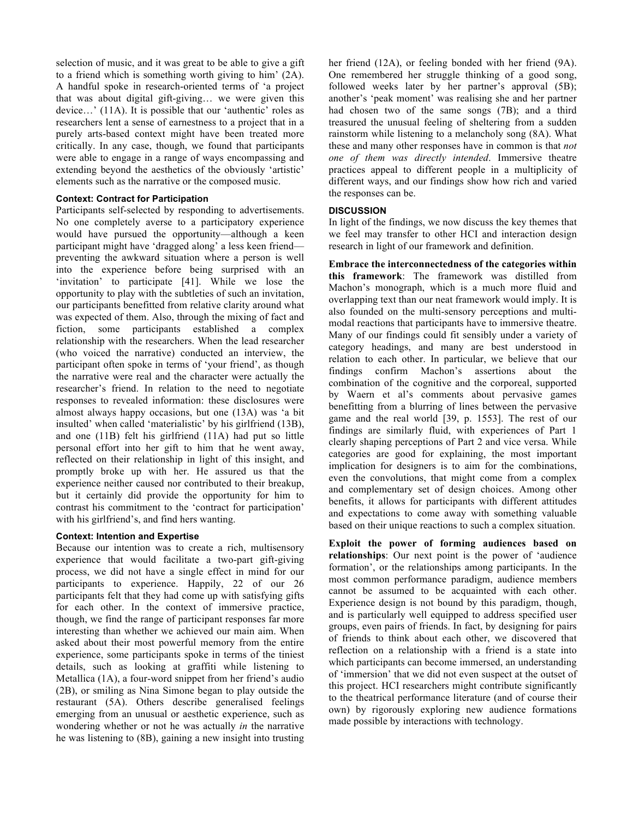selection of music, and it was great to be able to give a gift to a friend which is something worth giving to him' (2A). A handful spoke in research-oriented terms of 'a project that was about digital gift-giving… we were given this device…' (11A). It is possible that our 'authentic' roles as researchers lent a sense of earnestness to a project that in a purely arts-based context might have been treated more critically. In any case, though, we found that participants were able to engage in a range of ways encompassing and extending beyond the aesthetics of the obviously 'artistic' elements such as the narrative or the composed music.

#### **Context: Contract for Participation**

Participants self-selected by responding to advertisements. No one completely averse to a participatory experience would have pursued the opportunity—although a keen participant might have 'dragged along' a less keen friend preventing the awkward situation where a person is well into the experience before being surprised with an 'invitation' to participate [41]. While we lose the opportunity to play with the subtleties of such an invitation, our participants benefitted from relative clarity around what was expected of them. Also, through the mixing of fact and fiction, some participants established a complex relationship with the researchers. When the lead researcher (who voiced the narrative) conducted an interview, the participant often spoke in terms of 'your friend', as though the narrative were real and the character were actually the researcher's friend. In relation to the need to negotiate responses to revealed information: these disclosures were almost always happy occasions, but one (13A) was 'a bit insulted' when called 'materialistic' by his girlfriend (13B), and one (11B) felt his girlfriend (11A) had put so little personal effort into her gift to him that he went away, reflected on their relationship in light of this insight, and promptly broke up with her. He assured us that the experience neither caused nor contributed to their breakup, but it certainly did provide the opportunity for him to contrast his commitment to the 'contract for participation' with his girlfriend's, and find hers wanting.

#### **Context: Intention and Expertise**

Because our intention was to create a rich, multisensory experience that would facilitate a two-part gift-giving process, we did not have a single effect in mind for our participants to experience. Happily, 22 of our 26 participants felt that they had come up with satisfying gifts for each other. In the context of immersive practice, though, we find the range of participant responses far more interesting than whether we achieved our main aim. When asked about their most powerful memory from the entire experience, some participants spoke in terms of the tiniest details, such as looking at graffiti while listening to Metallica (1A), a four-word snippet from her friend's audio (2B), or smiling as Nina Simone began to play outside the restaurant (5A). Others describe generalised feelings emerging from an unusual or aesthetic experience, such as wondering whether or not he was actually *in* the narrative he was listening to (8B), gaining a new insight into trusting her friend (12A), or feeling bonded with her friend (9A). One remembered her struggle thinking of a good song, followed weeks later by her partner's approval  $(5B)$ ; another's 'peak moment' was realising she and her partner had chosen two of the same songs (7B); and a third treasured the unusual feeling of sheltering from a sudden rainstorm while listening to a melancholy song (8A). What these and many other responses have in common is that *not one of them was directly intended*. Immersive theatre practices appeal to different people in a multiplicity of different ways, and our findings show how rich and varied the responses can be.

#### **DISCUSSION**

In light of the findings, we now discuss the key themes that we feel may transfer to other HCI and interaction design research in light of our framework and definition.

**Embrace the interconnectedness of the categories within this framework**: The framework was distilled from Machon's monograph, which is a much more fluid and overlapping text than our neat framework would imply. It is also founded on the multi-sensory perceptions and multimodal reactions that participants have to immersive theatre. Many of our findings could fit sensibly under a variety of category headings, and many are best understood in relation to each other. In particular, we believe that our findings confirm Machon's assertions about the combination of the cognitive and the corporeal, supported by Waern et al's comments about pervasive games benefitting from a blurring of lines between the pervasive game and the real world [39, p. 1553]. The rest of our findings are similarly fluid, with experiences of Part 1 clearly shaping perceptions of Part 2 and vice versa. While categories are good for explaining, the most important implication for designers is to aim for the combinations, even the convolutions, that might come from a complex and complementary set of design choices. Among other benefits, it allows for participants with different attitudes and expectations to come away with something valuable based on their unique reactions to such a complex situation.

**Exploit the power of forming audiences based on relationships**: Our next point is the power of 'audience formation', or the relationships among participants. In the most common performance paradigm, audience members cannot be assumed to be acquainted with each other. Experience design is not bound by this paradigm, though, and is particularly well equipped to address specified user groups, even pairs of friends. In fact, by designing for pairs of friends to think about each other, we discovered that reflection on a relationship with a friend is a state into which participants can become immersed, an understanding of 'immersion' that we did not even suspect at the outset of this project. HCI researchers might contribute significantly to the theatrical performance literature (and of course their own) by rigorously exploring new audience formations made possible by interactions with technology.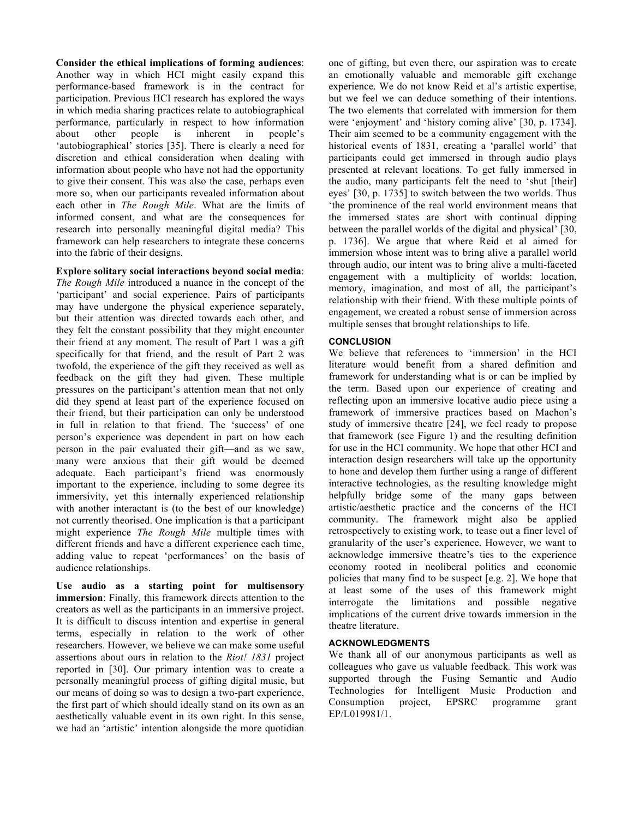**Consider the ethical implications of forming audiences**: Another way in which HCI might easily expand this performance-based framework is in the contract for participation. Previous HCI research has explored the ways in which media sharing practices relate to autobiographical performance, particularly in respect to how information about other people is inherent in people's

'autobiographical' stories [35]. There is clearly a need for discretion and ethical consideration when dealing with information about people who have not had the opportunity to give their consent. This was also the case, perhaps even more so, when our participants revealed information about each other in *The Rough Mile*. What are the limits of informed consent, and what are the consequences for research into personally meaningful digital media? This framework can help researchers to integrate these concerns into the fabric of their designs.

**Explore solitary social interactions beyond social media**: *The Rough Mile* introduced a nuance in the concept of the 'participant' and social experience. Pairs of participants may have undergone the physical experience separately, but their attention was directed towards each other, and they felt the constant possibility that they might encounter their friend at any moment. The result of Part 1 was a gift specifically for that friend, and the result of Part 2 was twofold, the experience of the gift they received as well as feedback on the gift they had given. These multiple pressures on the participant's attention mean that not only did they spend at least part of the experience focused on their friend, but their participation can only be understood in full in relation to that friend. The 'success' of one person's experience was dependent in part on how each person in the pair evaluated their gift—and as we saw, many were anxious that their gift would be deemed adequate. Each participant's friend was enormously important to the experience, including to some degree its immersivity, yet this internally experienced relationship with another interactant is (to the best of our knowledge) not currently theorised. One implication is that a participant might experience *The Rough Mile* multiple times with different friends and have a different experience each time, adding value to repeat 'performances' on the basis of audience relationships.

**Use audio as a starting point for multisensory immersion**: Finally, this framework directs attention to the creators as well as the participants in an immersive project. It is difficult to discuss intention and expertise in general terms, especially in relation to the work of other researchers. However, we believe we can make some useful assertions about ours in relation to the *Riot! 1831* project reported in [30]. Our primary intention was to create a personally meaningful process of gifting digital music, but our means of doing so was to design a two-part experience, the first part of which should ideally stand on its own as an aesthetically valuable event in its own right. In this sense, we had an 'artistic' intention alongside the more quotidian

one of gifting, but even there, our aspiration was to create an emotionally valuable and memorable gift exchange experience. We do not know Reid et al's artistic expertise, but we feel we can deduce something of their intentions. The two elements that correlated with immersion for them were 'enjoyment' and 'history coming alive' [30, p. 1734]. Their aim seemed to be a community engagement with the historical events of 1831, creating a 'parallel world' that participants could get immersed in through audio plays presented at relevant locations. To get fully immersed in the audio, many participants felt the need to 'shut [their] eyes' [30, p. 1735] to switch between the two worlds. Thus 'the prominence of the real world environment means that the immersed states are short with continual dipping between the parallel worlds of the digital and physical' [30, p. 1736]. We argue that where Reid et al aimed for immersion whose intent was to bring alive a parallel world through audio, our intent was to bring alive a multi-faceted engagement with a multiplicity of worlds: location, memory, imagination, and most of all, the participant's relationship with their friend. With these multiple points of engagement, we created a robust sense of immersion across multiple senses that brought relationships to life.

#### **CONCLUSION**

We believe that references to 'immersion' in the HCI literature would benefit from a shared definition and framework for understanding what is or can be implied by the term. Based upon our experience of creating and reflecting upon an immersive locative audio piece using a framework of immersive practices based on Machon's study of immersive theatre [24], we feel ready to propose that framework (see Figure 1) and the resulting definition for use in the HCI community. We hope that other HCI and interaction design researchers will take up the opportunity to hone and develop them further using a range of different interactive technologies, as the resulting knowledge might helpfully bridge some of the many gaps between artistic/aesthetic practice and the concerns of the HCI community. The framework might also be applied retrospectively to existing work, to tease out a finer level of granularity of the user's experience. However, we want to acknowledge immersive theatre's ties to the experience economy rooted in neoliberal politics and economic policies that many find to be suspect [e.g. 2]. We hope that at least some of the uses of this framework might interrogate the limitations and possible negative implications of the current drive towards immersion in the theatre literature.

#### **ACKNOWLEDGMENTS**

We thank all of our anonymous participants as well as colleagues who gave us valuable feedback*.* This work was supported through the Fusing Semantic and Audio Technologies for Intelligent Music Production and Consumption project, EPSRC programme grant EP/L019981/1.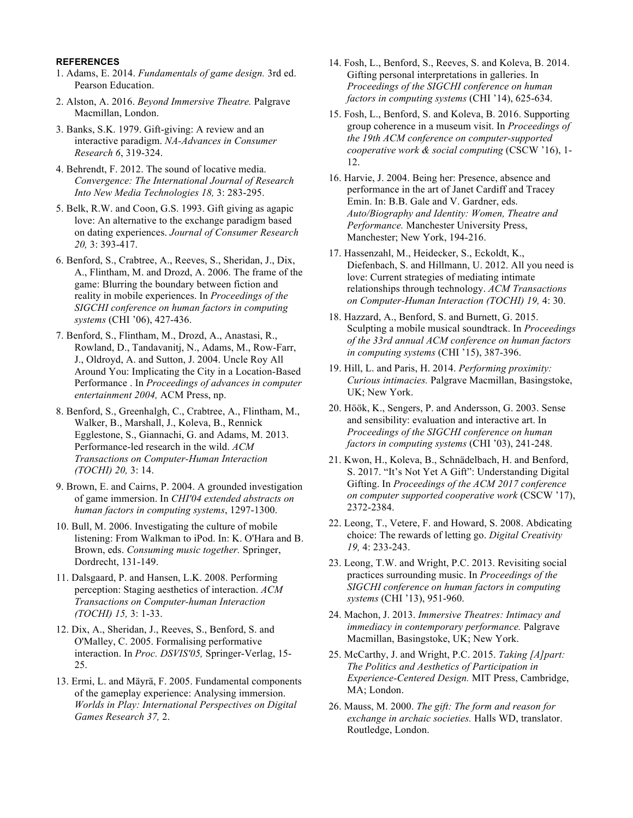#### **REFERENCES**

- 1. Adams, E. 2014. *Fundamentals of game design.* 3rd ed. Pearson Education.
- 2. Alston, A. 2016. *Beyond Immersive Theatre.* Palgrave Macmillan, London.
- 3. Banks, S.K. 1979. Gift-giving: A review and an interactive paradigm. *NA-Advances in Consumer Research 6*, 319-324.
- 4. Behrendt, F. 2012. The sound of locative media. *Convergence: The International Journal of Research Into New Media Technologies 18,* 3: 283-295.
- 5. Belk, R.W. and Coon, G.S. 1993. Gift giving as agapic love: An alternative to the exchange paradigm based on dating experiences. *Journal of Consumer Research 20,* 3: 393-417.
- 6. Benford, S., Crabtree, A., Reeves, S., Sheridan, J., Dix, A., Flintham, M. and Drozd, A. 2006. The frame of the game: Blurring the boundary between fiction and reality in mobile experiences. In *Proceedings of the SIGCHI conference on human factors in computing systems* (CHI '06), 427-436.
- 7. Benford, S., Flintham, M., Drozd, A., Anastasi, R., Rowland, D., Tandavanitj, N., Adams, M., Row-Farr, J., Oldroyd, A. and Sutton, J. 2004. Uncle Roy All Around You: Implicating the City in a Location-Based Performance . In *Proceedings of advances in computer entertainment 2004,* ACM Press, np.
- 8. Benford, S., Greenhalgh, C., Crabtree, A., Flintham, M., Walker, B., Marshall, J., Koleva, B., Rennick Egglestone, S., Giannachi, G. and Adams, M. 2013. Performance-led research in the wild. *ACM Transactions on Computer-Human Interaction (TOCHI) 20,* 3: 14.
- 9. Brown, E. and Cairns, P. 2004. A grounded investigation of game immersion. In *CHI'04 extended abstracts on human factors in computing systems*, 1297-1300.
- 10. Bull, M. 2006. Investigating the culture of mobile listening: From Walkman to iPod. In: K. O'Hara and B. Brown, eds. *Consuming music together.* Springer, Dordrecht, 131-149.
- 11. Dalsgaard, P. and Hansen, L.K. 2008. Performing perception: Staging aesthetics of interaction. *ACM Transactions on Computer-human Interaction (TOCHI) 15,* 3: 1-33.
- 12. Dix, A., Sheridan, J., Reeves, S., Benford, S. and O'Malley, C. 2005. Formalising performative interaction. In *Proc. DSVIS'05,* Springer-Verlag, 15- 25.
- 13. Ermi, L. and Mäyrä, F. 2005. Fundamental components of the gameplay experience: Analysing immersion. *Worlds in Play: International Perspectives on Digital Games Research 37,* 2.
- 14. Fosh, L., Benford, S., Reeves, S. and Koleva, B. 2014. Gifting personal interpretations in galleries. In *Proceedings of the SIGCHI conference on human factors in computing systems* (CHI '14), 625-634.
- 15. Fosh, L., Benford, S. and Koleva, B. 2016. Supporting group coherence in a museum visit. In *Proceedings of the 19th ACM conference on computer-supported cooperative work & social computing* (CSCW '16), 1- 12.
- 16. Harvie, J. 2004. Being her: Presence, absence and performance in the art of Janet Cardiff and Tracey Emin. In: B.B. Gale and V. Gardner, eds. *Auto/Biography and Identity: Women, Theatre and Performance.* Manchester University Press, Manchester; New York, 194-216.
- 17. Hassenzahl, M., Heidecker, S., Eckoldt, K., Diefenbach, S. and Hillmann, U. 2012. All you need is love: Current strategies of mediating intimate relationships through technology. *ACM Transactions on Computer-Human Interaction (TOCHI) 19,* 4: 30.
- 18. Hazzard, A., Benford, S. and Burnett, G. 2015. Sculpting a mobile musical soundtrack. In *Proceedings of the 33rd annual ACM conference on human factors in computing systems* (CHI '15), 387-396.
- 19. Hill, L. and Paris, H. 2014. *Performing proximity: Curious intimacies.* Palgrave Macmillan, Basingstoke, UK; New York.
- 20. Höök, K., Sengers, P. and Andersson, G. 2003. Sense and sensibility: evaluation and interactive art. In *Proceedings of the SIGCHI conference on human factors in computing systems* (CHI '03), 241-248.
- 21. Kwon, H., Koleva, B., Schnädelbach, H. and Benford, S. 2017. "It's Not Yet A Gift": Understanding Digital Gifting. In *Proceedings of the ACM 2017 conference on computer supported cooperative work* (CSCW '17), 2372-2384.
- 22. Leong, T., Vetere, F. and Howard, S. 2008. Abdicating choice: The rewards of letting go. *Digital Creativity 19,* 4: 233-243.
- 23. Leong, T.W. and Wright, P.C. 2013. Revisiting social practices surrounding music. In *Proceedings of the SIGCHI conference on human factors in computing systems* (CHI '13), 951-960.
- 24. Machon, J. 2013. *Immersive Theatres: Intimacy and immediacy in contemporary performance.* Palgrave Macmillan, Basingstoke, UK; New York.
- 25. McCarthy, J. and Wright, P.C. 2015. *Taking [A]part: The Politics and Aesthetics of Participation in Experience-Centered Design.* MIT Press, Cambridge, MA; London.
- 26. Mauss, M. 2000. *The gift: The form and reason for exchange in archaic societies.* Halls WD, translator. Routledge, London.